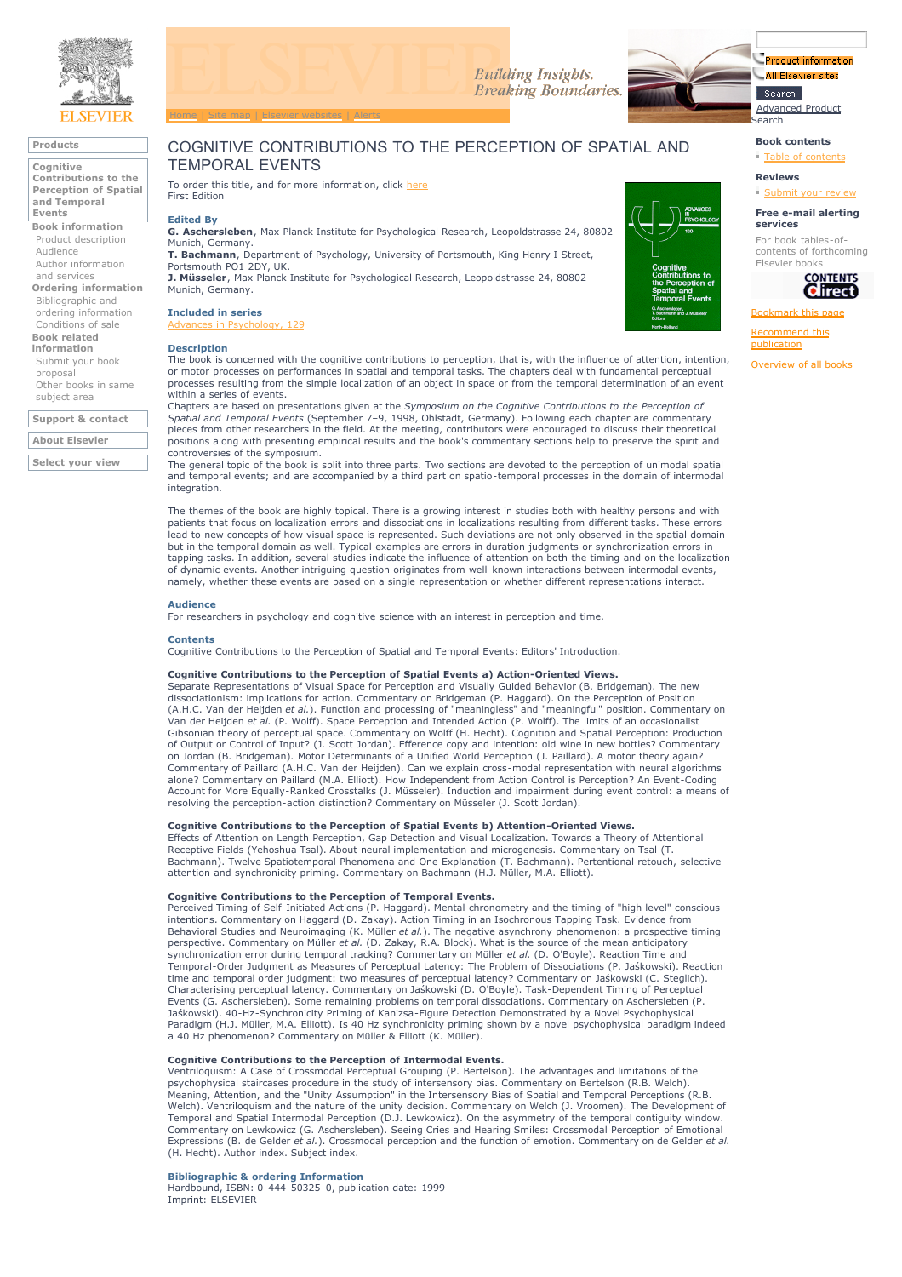

## **Products**

**Cognitive Contributions to the Perception of Spatial and Temporal Events**

**Book information** Product description Audience Author information and services

**Ordering information** Bibliographic and

ordering information Conditions of sale **Book related**

#### **information** Submit your book

proposal Other books in same subject area

**Support & contact**

**About Elsevier Select your view**



## COGNITIVE CONTRIBUTIONS TO THE PERCEPTION OF SPATIAL AND TEMPORAL EVENTS

To order this title, and for more information, click here First Edition

#### **Edited By**

**G. Aschersleben**, Max Planck Institute for Psychological Research, Leopoldstrasse 24, 80802 Munich, Germany. **T. Bachmann**, Department of Psychology, University of Portsmouth, King Henry I Street,

Portsmouth PO1 2DY, UK. **J. Müsseler**, Max Planck Institute for Psychological Research, Leopoldstrasse 24, 80802 Munich, Germany.

### **Included in series**

Advances in Psychology, 129

#### **Description**



The book is concerned with the cognitive contributions to perception, that is, with the influence of attention, intention, or motor processes on performances in spatial and temporal tasks. The chapters deal with fundamental perceptual processes resulting from the simple localization of an object in space or from the temporal determination of an event within a series of events.

Chapters are based on presentations given at the *Symposium on the Cognitive Contributions to the Perception of*<br>*Spatial and Temporal Events* (September 7–9, 1998, Ohlstadt, Germany). Following each chapter are commentary positions along with presenting empirical results and the book's commentary sections help to preserve the spirit and

controversies of the symposium. The general topic of the book is split into three parts. Two sections are devoted to the perception of unimodal spatial and temporal events; and are accompanied by a third part on spatio-temporal processes in the domain of intermodal integration.

The themes of the book are highly topical. There is a growing interest in studies both with healthy persons and with patients that focus on localization errors and dissociations in localizations resulting from different tasks. These errors lead to new concepts of how visual space is represented. Such deviations are not only observed in the spatial domain but in the temporal domain as well. Typical examples are errors in duration judgments or synchronization errors in<br>tapping tasks. In addition, several studies indicate the influence of attention on both the timing and on t of dynamic events. Another intriguing question originates from well-known interactions between intermodal events, namely, whether these events are based on a single representation or whether different representations interact.

#### **Audience**

For researchers in psychology and cognitive science with an interest in perception and time.

#### **Contents**

Cognitive Contributions to the Perception of Spatial and Temporal Events: Editors' Introduction.

#### **Cognitive Contributions to the Perception of Spatial Events a) Action-Oriented Views.**

Separate Representations of Visual Space for Perception and Visually Guided Behavior (B. Bridgeman). The new dissociationism: implications for action. Commentary on Bridgeman (P. Haggard). On the Perception of Position (A.H.C. Van der Heijden *et al.*). Function and processing of "meaningless" and "meaningful" position. Commentary on Van der Heijden *et al.* (P. Wolff). Space Perception and Intended Action (P. Wolff). The limits of an occasionalist<br>Gibsonian theory of perceptual space. Commentary on Wolff (H. Hecht). Cognition and Spatial Perception: P of Output or Control of Input? (J. Scott Jordan). Efference copy and intention: old wine in new bottles? Commentary on Jordan (B. Bridgeman). Motor Determinants of a Unified World Perception (J. Paillard). A motor theory again? Commentary of Paillard (A.H.C. Van der Heijden). Can we explain cross-modal representation with neural algorithms<br>alone? Commentary on Paillard (M.A. Elliott). How Independent from Action Control is Perception? An Event-Co Account for More Equally-Ranked Crosstalks (J. Müsseler). Induction and impairment during event control: a means of resolving the perception-action distinction? Commentary on Müsseler (J. Scott Jordan).

#### **Cognitive Contributions to the Perception of Spatial Events b) Attention-Oriented Views.**

Effects of Attention on Length Perception, Gap Detection and Visual Localization. Towards a Theory of Attentional Receptive Fields (Yehoshua Tsal). About neural implementation and microgenesis. Commentary on Tsal (T. Bachmann). Twelve Spatiotemporal Phenomena and One Explanation (T. Bachmann). Pertentional retouch, selective<br>attention and synchronicity priming. Commentary on Bachmann (H.J. Müller, M.A. Elliott).

#### **Cognitive Contributions to the Perception of Temporal Events.**

Perceived Timing of Self-Initiated Actions (P. Haggard). Mental chronometry and the timing of "high level" conscious intentions. Commentary on Haggard (D. Zakay). Action Timing in an Isochronous Tapping Task. Evidence from Behavioral Studies and Neuroimaging (K. Müller *et al.*). The negative asynchrony phenomenon: a prospective timing<br>perspective. Commentary on Müller *et al.* (D. Zakay, R.A. Block). What is the source of the mean anticipat Temporal-Order Judgment as Measures of Perceptual Latency: The Problem of Dissociations (P. Jaśkowski). Reaction time and temporal order judgment: two measures of perceptual latency? Commentary on Jaśkowski (C. Steglich). Characterising perceptual latency. Commentary on Jaśkowski (D. O'Boyle). Task-Dependent Timing of Perceptual Events (G. Aschersleben). Some remaining problems on temporal dissociations. Commentary on Aschersleben (P. Jaśkowski). 40-Hz-Synchronicity Priming of Kanizsa-Figure Detection Demonstrated by a Novel Psychophysical Paradigm (H.J. Müller, M.A. Elliott). Is 40 Hz synchronicity priming shown by a novel psychophysical paradigm indeed a 40 Hz phenomenon? Commentary on Müller & Elliott (K. Müller).

#### **Cognitive Contributions to the Perception of Intermodal Events.**

Ventriloquism: A Case of Crossmodal Perceptual Grouping (P. Bertelson). The advantages and limitations of the psychophysical staircases procedure in the study of intersensory bias. Commentary on Bertelson (R.B. Welch). Meaning, Attention, and the "Unity Assumption" in the Intersensory Bias of Spatial and Temporal Perceptions (R.B. Welch). Ventriloquism and the nature of the unity decision. Commentary on Welch (J. Vroomen). The Development of Temporal and Spatial Intermodal Perception (D.J. Lewkowicz). On the asymmetry of the temporal contiguity window. Commentary on Lewkowicz (G. Aschersleben). Seeing Cries and Hearing Smiles: Crossmodal Perception of Emotional<br>Expressions (B. de Gelder *et al.*). Crossmodal perception and the function of emotion. Commentary on de Gelder (H. Hecht). Author index. Subject index.

**Bibliographic & ordering Information** Hardbound, ISBN: 0-444-50325-0, publication date: 1999 Imprint: ELSEVIER

# **Book contents**

Search

# Table of contents

Advanced Product

Product information

All Fisevier sites

**Reviews**

 $Submit your$ rev

#### **Free e-mail alerting services**

For book tables-ofcontents of forthcoming Elsevier books



## Bookmark this page

Recommend this publication

Overview of all books